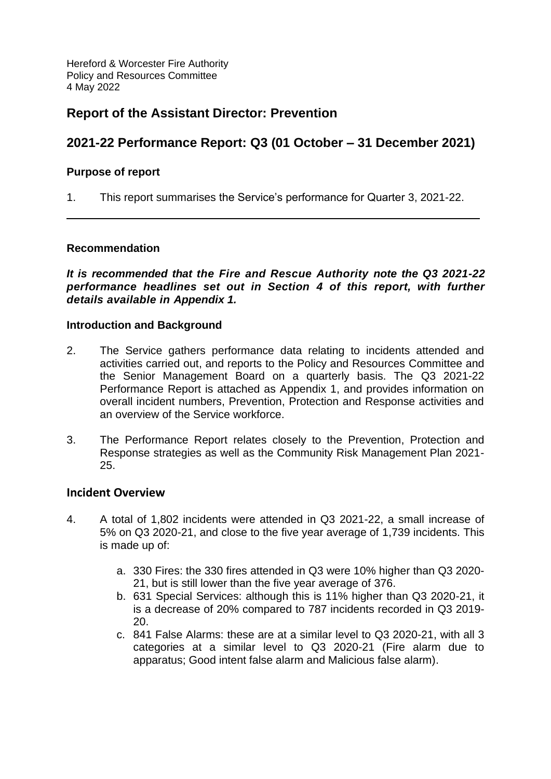Hereford & Worcester Fire Authority Policy and Resources Committee 4 May 2022

# **Report of the Assistant Director: Prevention**

# **2021-22 Performance Report: Q3 (01 October – 31 December 2021)**

#### **Purpose of report**

1. This report summarises the Service's performance for Quarter 3, 2021-22.

#### **Recommendation**

*It is recommended that the Fire and Rescue Authority note the Q3 2021-22 performance headlines set out in Section 4 of this report, with further details available in Appendix 1.*

#### **Introduction and Background**

- 2. The Service gathers performance data relating to incidents attended and activities carried out, and reports to the Policy and Resources Committee and the Senior Management Board on a quarterly basis. The Q3 2021-22 Performance Report is attached as Appendix 1, and provides information on overall incident numbers, Prevention, Protection and Response activities and an overview of the Service workforce.
- 3. The Performance Report relates closely to the Prevention, Protection and Response strategies as well as the Community Risk Management Plan 2021- 25.

#### **Incident Overview**

- 4. A total of 1,802 incidents were attended in Q3 2021-22, a small increase of 5% on Q3 2020-21, and close to the five year average of 1,739 incidents. This is made up of:
	- a. 330 Fires: the 330 fires attended in Q3 were 10% higher than Q3 2020- 21, but is still lower than the five year average of 376.
	- b. 631 Special Services: although this is 11% higher than Q3 2020-21, it is a decrease of 20% compared to 787 incidents recorded in Q3 2019- 20.
	- c. 841 False Alarms: these are at a similar level to Q3 2020-21, with all 3 categories at a similar level to Q3 2020-21 (Fire alarm due to apparatus; Good intent false alarm and Malicious false alarm).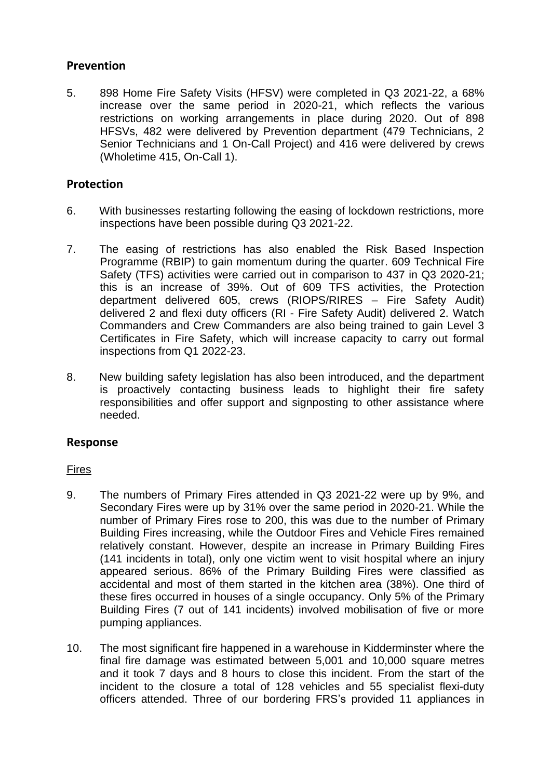## **Prevention**

5. 898 Home Fire Safety Visits (HFSV) were completed in Q3 2021-22, a 68% increase over the same period in 2020-21, which reflects the various restrictions on working arrangements in place during 2020. Out of 898 HFSVs, 482 were delivered by Prevention department (479 Technicians, 2 Senior Technicians and 1 On-Call Project) and 416 were delivered by crews (Wholetime 415, On-Call 1).

## **Protection**

- 6. With businesses restarting following the easing of lockdown restrictions, more inspections have been possible during Q3 2021-22.
- 7. The easing of restrictions has also enabled the Risk Based Inspection Programme (RBIP) to gain momentum during the quarter. 609 Technical Fire Safety (TFS) activities were carried out in comparison to 437 in Q3 2020-21; this is an increase of 39%. Out of 609 TFS activities, the Protection department delivered 605, crews (RIOPS/RIRES – Fire Safety Audit) delivered 2 and flexi duty officers (RI - Fire Safety Audit) delivered 2. Watch Commanders and Crew Commanders are also being trained to gain Level 3 Certificates in Fire Safety, which will increase capacity to carry out formal inspections from Q1 2022-23.
- 8. New building safety legislation has also been introduced, and the department is proactively contacting business leads to highlight their fire safety responsibilities and offer support and signposting to other assistance where needed.

## **Response**

#### Fires

- 9. The numbers of Primary Fires attended in Q3 2021-22 were up by 9%, and Secondary Fires were up by 31% over the same period in 2020-21. While the number of Primary Fires rose to 200, this was due to the number of Primary Building Fires increasing, while the Outdoor Fires and Vehicle Fires remained relatively constant. However, despite an increase in Primary Building Fires (141 incidents in total), only one victim went to visit hospital where an injury appeared serious. 86% of the Primary Building Fires were classified as accidental and most of them started in the kitchen area (38%). One third of these fires occurred in houses of a single occupancy. Only 5% of the Primary Building Fires (7 out of 141 incidents) involved mobilisation of five or more pumping appliances.
- 10. The most significant fire happened in a warehouse in Kidderminster where the final fire damage was estimated between 5,001 and 10,000 square metres and it took 7 days and 8 hours to close this incident. From the start of the incident to the closure a total of 128 vehicles and 55 specialist flexi-duty officers attended. Three of our bordering FRS's provided 11 appliances in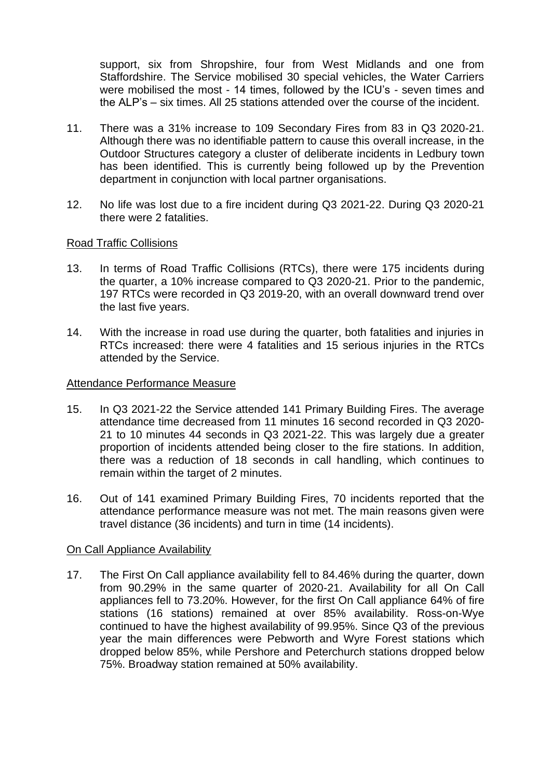support, six from Shropshire, four from West Midlands and one from Staffordshire. The Service mobilised 30 special vehicles, the Water Carriers were mobilised the most - 14 times, followed by the ICU's - seven times and the ALP's – six times. All 25 stations attended over the course of the incident.

- 11. There was a 31% increase to 109 Secondary Fires from 83 in Q3 2020-21. Although there was no identifiable pattern to cause this overall increase, in the Outdoor Structures category a cluster of deliberate incidents in Ledbury town has been identified. This is currently being followed up by the Prevention department in conjunction with local partner organisations.
- 12. No life was lost due to a fire incident during Q3 2021-22. During Q3 2020-21 there were 2 fatalities.

#### Road Traffic Collisions

- 13. In terms of Road Traffic Collisions (RTCs), there were 175 incidents during the quarter, a 10% increase compared to Q3 2020-21. Prior to the pandemic, 197 RTCs were recorded in Q3 2019-20, with an overall downward trend over the last five years.
- 14. With the increase in road use during the quarter, both fatalities and injuries in RTCs increased: there were 4 fatalities and 15 serious injuries in the RTCs attended by the Service.

#### Attendance Performance Measure

- 15. In Q3 2021-22 the Service attended 141 Primary Building Fires. The average attendance time decreased from 11 minutes 16 second recorded in Q3 2020- 21 to 10 minutes 44 seconds in Q3 2021-22. This was largely due a greater proportion of incidents attended being closer to the fire stations. In addition, there was a reduction of 18 seconds in call handling, which continues to remain within the target of 2 minutes.
- 16. Out of 141 examined Primary Building Fires, 70 incidents reported that the attendance performance measure was not met. The main reasons given were travel distance (36 incidents) and turn in time (14 incidents).

#### On Call Appliance Availability

17. The First On Call appliance availability fell to 84.46% during the quarter, down from 90.29% in the same quarter of 2020-21. Availability for all On Call appliances fell to 73.20%. However, for the first On Call appliance 64% of fire stations (16 stations) remained at over 85% availability. Ross-on-Wye continued to have the highest availability of 99.95%. Since Q3 of the previous year the main differences were Pebworth and Wyre Forest stations which dropped below 85%, while Pershore and Peterchurch stations dropped below 75%. Broadway station remained at 50% availability.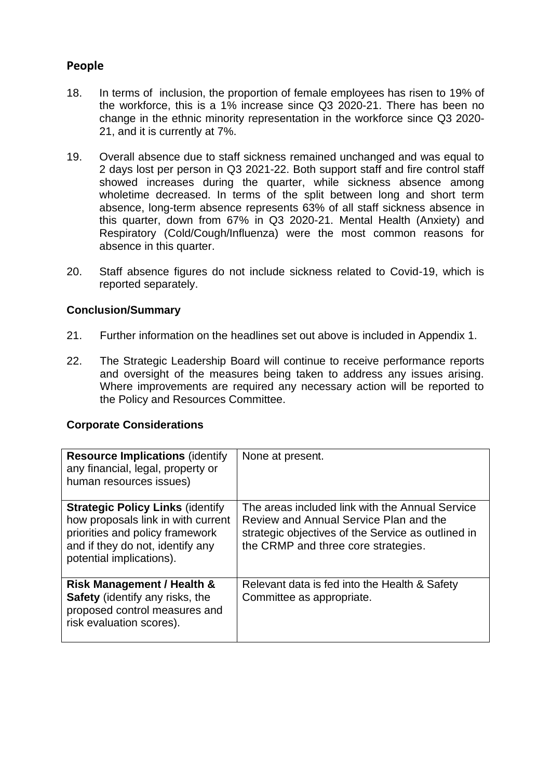# **People**

- 18. In terms of inclusion, the proportion of female employees has risen to 19% of the workforce, this is a 1% increase since Q3 2020-21. There has been no change in the ethnic minority representation in the workforce since Q3 2020- 21, and it is currently at 7%.
- 19. Overall absence due to staff sickness remained unchanged and was equal to 2 days lost per person in Q3 2021-22. Both support staff and fire control staff showed increases during the quarter, while sickness absence among wholetime decreased. In terms of the split between long and short term absence, long-term absence represents 63% of all staff sickness absence in this quarter, down from 67% in Q3 2020-21. Mental Health (Anxiety) and Respiratory (Cold/Cough/Influenza) were the most common reasons for absence in this quarter.
- 20. Staff absence figures do not include sickness related to Covid-19, which is reported separately.

#### **Conclusion/Summary**

- 21. Further information on the headlines set out above is included in Appendix 1.
- 22. The Strategic Leadership Board will continue to receive performance reports and oversight of the measures being taken to address any issues arising. Where improvements are required any necessary action will be reported to the Policy and Resources Committee.

#### **Corporate Considerations**

| <b>Resource Implications (identify)</b><br>any financial, legal, property or<br>human resources issues)                                                                          | None at present.                                                                                                                                                                       |
|----------------------------------------------------------------------------------------------------------------------------------------------------------------------------------|----------------------------------------------------------------------------------------------------------------------------------------------------------------------------------------|
| <b>Strategic Policy Links (identify</b><br>how proposals link in with current<br>priorities and policy framework<br>and if they do not, identify any<br>potential implications). | The areas included link with the Annual Service<br>Review and Annual Service Plan and the<br>strategic objectives of the Service as outlined in<br>the CRMP and three core strategies. |
| Risk Management / Health &<br>Safety (identify any risks, the<br>proposed control measures and<br>risk evaluation scores).                                                       | Relevant data is fed into the Health & Safety<br>Committee as appropriate.                                                                                                             |